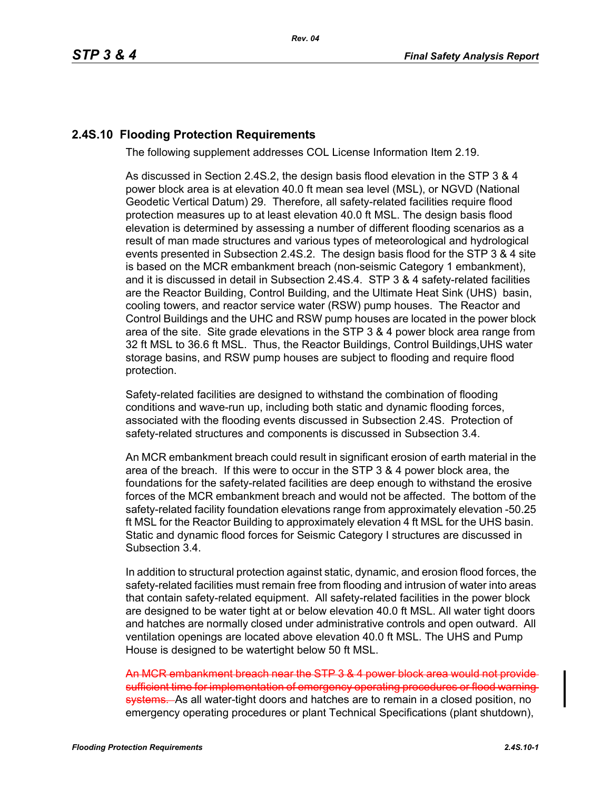## **2.4S.10 Flooding Protection Requirements**

The following supplement addresses COL License Information Item 2.19.

As discussed in Section 2.4S.2, the design basis flood elevation in the STP 3 & 4 power block area is at elevation 40.0 ft mean sea level (MSL), or NGVD (National Geodetic Vertical Datum) 29. Therefore, all safety-related facilities require flood protection measures up to at least elevation 40.0 ft MSL. The design basis flood elevation is determined by assessing a number of different flooding scenarios as a result of man made structures and various types of meteorological and hydrological events presented in Subsection 2.4S.2. The design basis flood for the STP 3 & 4 site is based on the MCR embankment breach (non-seismic Category 1 embankment), and it is discussed in detail in Subsection 2.4S.4. STP 3 & 4 safety-related facilities are the Reactor Building, Control Building, and the Ultimate Heat Sink (UHS) basin, cooling towers, and reactor service water (RSW) pump houses. The Reactor and Control Buildings and the UHC and RSW pump houses are located in the power block area of the site. Site grade elevations in the STP 3 & 4 power block area range from 32 ft MSL to 36.6 ft MSL. Thus, the Reactor Buildings, Control Buildings,UHS water storage basins, and RSW pump houses are subject to flooding and require flood protection.

Safety-related facilities are designed to withstand the combination of flooding conditions and wave-run up, including both static and dynamic flooding forces, associated with the flooding events discussed in Subsection 2.4S. Protection of safety-related structures and components is discussed in Subsection 3.4.

An MCR embankment breach could result in significant erosion of earth material in the area of the breach. If this were to occur in the STP 3 & 4 power block area, the foundations for the safety-related facilities are deep enough to withstand the erosive forces of the MCR embankment breach and would not be affected. The bottom of the safety-related facility foundation elevations range from approximately elevation -50.25 ft MSL for the Reactor Building to approximately elevation 4 ft MSL for the UHS basin. Static and dynamic flood forces for Seismic Category I structures are discussed in Subsection 3.4.

In addition to structural protection against static, dynamic, and erosion flood forces, the safety-related facilities must remain free from flooding and intrusion of water into areas that contain safety-related equipment. All safety-related facilities in the power block are designed to be water tight at or below elevation 40.0 ft MSL. All water tight doors and hatches are normally closed under administrative controls and open outward. All ventilation openings are located above elevation 40.0 ft MSL. The UHS and Pump House is designed to be watertight below 50 ft MSL.

An MCR embankment breach near the STP 3 & 4 power block area would not provide sufficient time for implementation of emergency operating procedures or flood warning systems. As all water-tight doors and hatches are to remain in a closed position, no emergency operating procedures or plant Technical Specifications (plant shutdown),